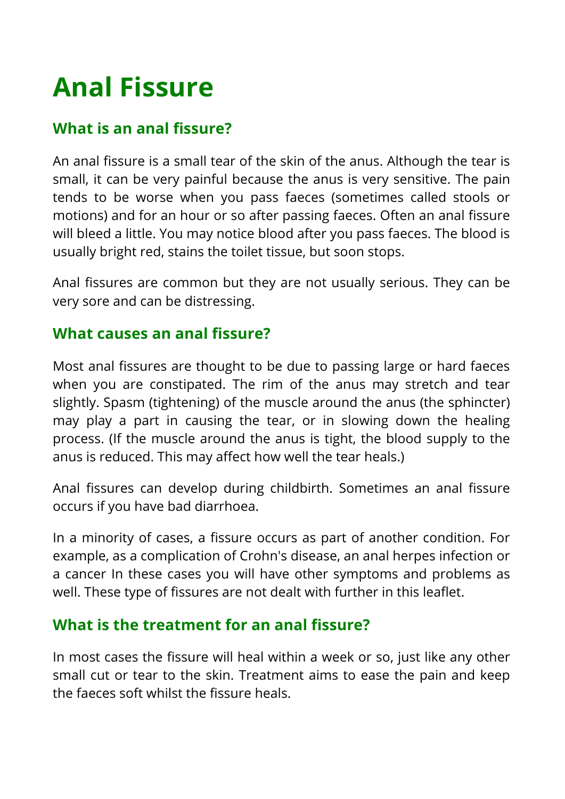# **Anal Fissure**

## **What is an anal fissure?**

An anal fissure is a small tear of the skin of the anus. Although the tear is small, it can be very painful because the anus is very sensitive. The pain tends to be worse when you pass faeces (sometimes called stools or motions) and for an hour or so after passing faeces. Often an anal fissure will bleed a little. You may notice blood after you pass faeces. The blood is usually bright red, stains the toilet tissue, but soon stops.

Anal fissures are common but they are not usually serious. They can be very sore and can be distressing.

## **What causes an anal fissure?**

Most anal fissures are thought to be due to passing large or hard faeces when you are constipated. The rim of the anus may stretch and tear slightly. Spasm (tightening) of the muscle around the anus (the sphincter) may play a part in causing the tear, or in slowing down the healing process. (If the muscle around the anus is tight, the blood supply to the anus is reduced. This may affect how well the tear heals.)

Anal fissures can develop during childbirth. Sometimes an anal fissure occurs if you have bad diarrhoea.

In a minority of cases, a fissure occurs as part of another condition. For example, as a complication of Crohn's disease, an anal herpes infection or a cancer In these cases you will have other symptoms and problems as well. These type of fissures are not dealt with further in this leaflet.

### **What is the treatment for an anal fissure?**

In most cases the fissure will heal within a week or so, just like any other small cut or tear to the skin. Treatment aims to ease the pain and keep the faeces soft whilst the fissure heals.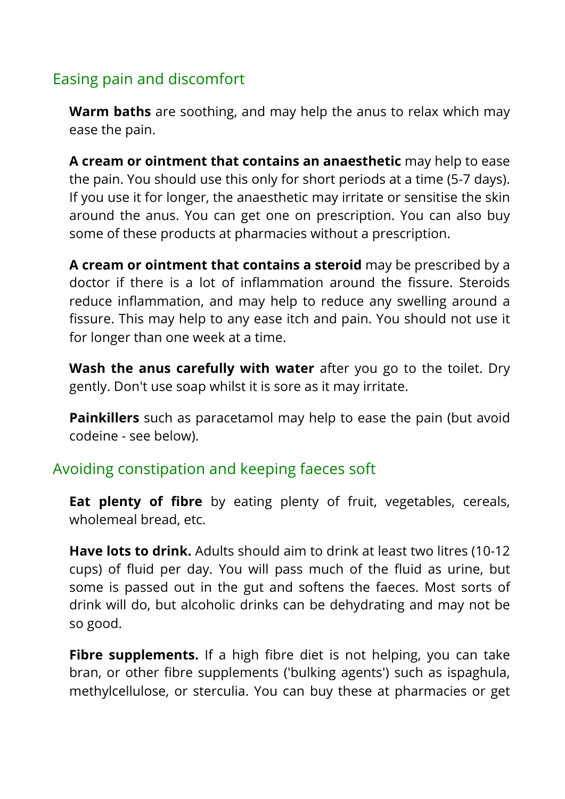## Easing pain and discomfort

**Warm baths** are soothing, and may help the anus to relax which may ease the pain.

**A cream or ointment that contains an anaesthetic** may help to ease the pain. You should use this only for short periods at a time (5-7 days). If you use it for longer, the anaesthetic may irritate or sensitise the skin around the anus. You can get one on prescription. You can also buy some of these products at pharmacies without a prescription.

**A cream or ointment that contains a steroid** may be prescribed by a doctor if there is a lot of inflammation around the fissure. Steroids reduce inflammation, and may help to reduce any swelling around a fissure. This may help to any ease itch and pain. You should not use it for longer than one week at a time.

**Wash the anus carefully with water** after you go to the toilet. Dry gently. Don't use soap whilst it is sore as it may irritate.

**Painkillers** such as paracetamol may help to ease the pain (but avoid codeine - see below).

#### Avoiding constipation and keeping faeces soft

**Eat plenty of fibre** by eating plenty of fruit, vegetables, cereals, wholemeal bread, etc.

**Have lots to drink.** Adults should aim to drink at least two litres (10-12 cups) of fluid per day. You will pass much of the fluid as urine, but some is passed out in the gut and softens the faeces. Most sorts of drink will do, but alcoholic drinks can be dehydrating and may not be so good.

**Fibre supplements.** If a high fibre diet is not helping, you can take bran, or other fibre supplements ('bulking agents') such as ispaghula, methylcellulose, or sterculia. You can buy these at pharmacies or get